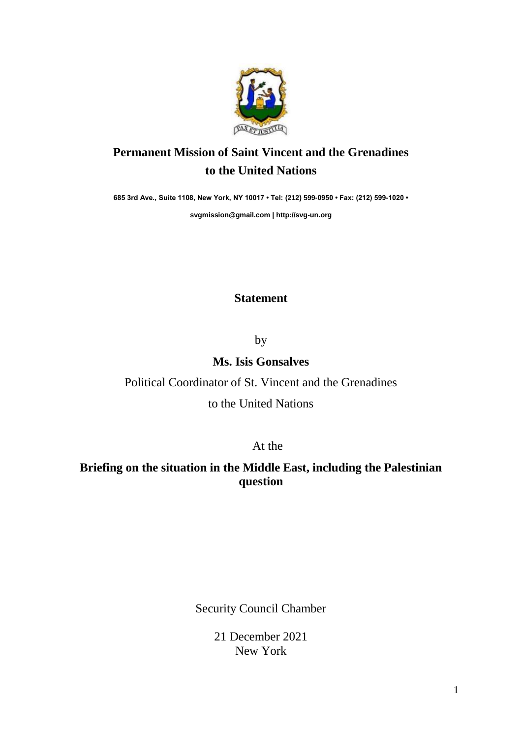

# **Permanent Mission of Saint Vincent and the Grenadines to the United Nations**

**685 3rd Ave., Suite 1108, New York, NY 10017 • Tel: (212) 599-0950 • Fax: (212) 599-1020 •** 

**[svgmission@gmail.com](mailto:svgmission@gmail.com) | [http://svg-un.org](http://svg-un.org/)**

### **Statement**

by

### **Ms. Isis Gonsalves**

### Political Coordinator of St. Vincent and the Grenadines

#### to the United Nations

At the

## **Briefing on the situation in the Middle East, including the Palestinian question**

Security Council Chamber

21 December 2021 New York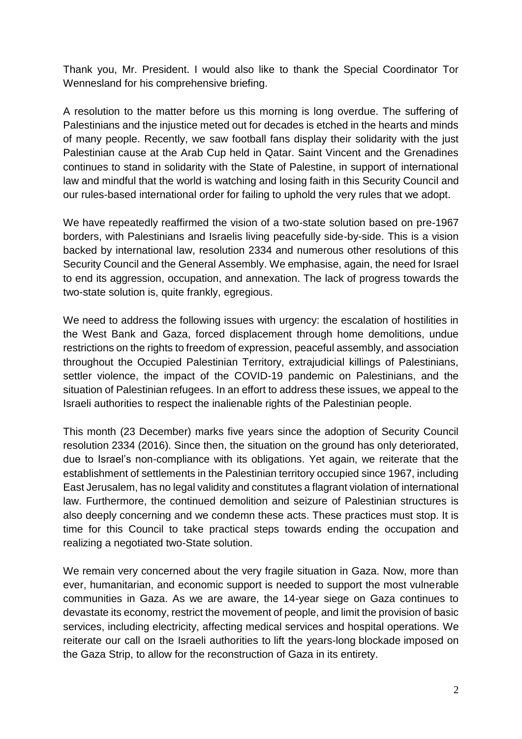Thank you, Mr. President. I would also like to thank the Special Coordinator Tor Wennesland for his comprehensive briefing.

A resolution to the matter before us this morning is long overdue. The suffering of Palestinians and the injustice meted out for decades is etched in the hearts and minds of many people. Recently, we saw football fans display their solidarity with the just Palestinian cause at the Arab Cup held in Qatar. Saint Vincent and the Grenadines continues to stand in solidarity with the State of Palestine, in support of international law and mindful that the world is watching and losing faith in this Security Council and our rules-based international order for failing to uphold the very rules that we adopt.

We have repeatedly reaffirmed the vision of a two-state solution based on pre-1967 borders, with Palestinians and Israelis living peacefully side-by-side. This is a vision backed by international law, resolution 2334 and numerous other resolutions of this Security Council and the General Assembly. We emphasise, again, the need for Israel to end its aggression, occupation, and annexation. The lack of progress towards the two-state solution is, quite frankly, egregious.

We need to address the following issues with urgency: the escalation of hostilities in the West Bank and Gaza, forced displacement through home demolitions, undue restrictions on the rights to freedom of expression, peaceful assembly, and association throughout the Occupied Palestinian Territory, extrajudicial killings of Palestinians, settler violence, the impact of the COVID-19 pandemic on Palestinians, and the situation of Palestinian refugees. In an effort to address these issues, we appeal to the Israeli authorities to respect the inalienable rights of the Palestinian people.

This month (23 December) marks five years since the adoption of Security Council resolution 2334 (2016). Since then, the situation on the ground has only deteriorated, due to Israel's non-compliance with its obligations. Yet again, we reiterate that the establishment of settlements in the Palestinian territory occupied since 1967, including East Jerusalem, has no legal validity and constitutes a flagrant violation of international law. Furthermore, the continued demolition and seizure of Palestinian structures is also deeply concerning and we condemn these acts. These practices must stop. It is time for this Council to take practical steps towards ending the occupation and realizing a negotiated two-State solution.

We remain very concerned about the very fragile situation in Gaza. Now, more than ever, humanitarian, and economic support is needed to support the most vulnerable communities in Gaza. As we are aware, the 14-year siege on Gaza continues to devastate its economy, restrict the movement of people, and limit the provision of basic services, including electricity, affecting medical services and hospital operations. We reiterate our call on the Israeli authorities to lift the years-long blockade imposed on the Gaza Strip, to allow for the reconstruction of Gaza in its entirety.